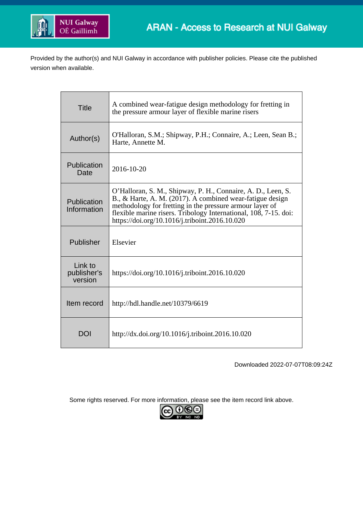

Provided by the author(s) and NUI Galway in accordance with publisher policies. Please cite the published version when available.

| <b>Title</b>                      | A combined wear-fatigue design methodology for fretting in<br>the pressure armour layer of flexible marine risers                                                                                                                                                                                           |
|-----------------------------------|-------------------------------------------------------------------------------------------------------------------------------------------------------------------------------------------------------------------------------------------------------------------------------------------------------------|
| Author(s)                         | O'Halloran, S.M.; Shipway, P.H.; Connaire, A.; Leen, Sean B.;<br>Harte, Annette M.                                                                                                                                                                                                                          |
| Publication<br>Date               | 2016-10-20                                                                                                                                                                                                                                                                                                  |
| Publication<br>Information        | O'Halloran, S. M., Shipway, P. H., Connaire, A. D., Leen, S.<br>B., & Harte, A. M. (2017). A combined wear-fatigue design<br>methodology for fretting in the pressure armour layer of<br>flexible marine risers. Tribology International, 108, 7-15. doi:<br>https://doi.org/10.1016/j.triboint.2016.10.020 |
| Publisher                         | Elsevier                                                                                                                                                                                                                                                                                                    |
| Link to<br>publisher's<br>version | https://doi.org/10.1016/j.triboint.2016.10.020                                                                                                                                                                                                                                                              |
| Item record                       | http://hdl.handle.net/10379/6619                                                                                                                                                                                                                                                                            |
| <b>DOI</b>                        | http://dx.doi.org/10.1016/j.triboint.2016.10.020                                                                                                                                                                                                                                                            |

Downloaded 2022-07-07T08:09:24Z

Some rights reserved. For more information, please see the item record link above.

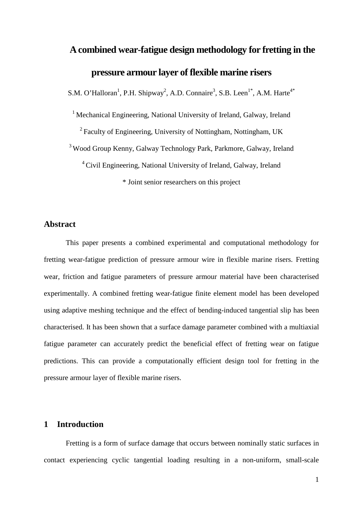# **A combined wear-fatigue design methodology for fretting in the pressure armour layer of flexible marine risers**

S.M. O'Halloran<sup>1</sup>, P.H. Shipway<sup>2</sup>, A.D. Connaire<sup>3</sup>, S.B. Leen<sup>1\*</sup>, A.M. Harte<sup>4\*</sup>

<sup>1</sup> Mechanical Engineering, National University of Ireland, Galway, Ireland

 $2$  Faculty of Engineering, University of Nottingham, Nottingham, UK

<sup>3</sup> Wood Group Kenny, Galway Technology Park, Parkmore, Galway, Ireland

<sup>4</sup> Civil Engineering, National University of Ireland, Galway, Ireland

\* Joint senior researchers on this project

# **Abstract**

This paper presents a combined experimental and computational methodology for fretting wear-fatigue prediction of pressure armour wire in flexible marine risers. Fretting wear, friction and fatigue parameters of pressure armour material have been characterised experimentally. A combined fretting wear-fatigue finite element model has been developed using adaptive meshing technique and the effect of bending-induced tangential slip has been characterised. It has been shown that a surface damage parameter combined with a multiaxial fatigue parameter can accurately predict the beneficial effect of fretting wear on fatigue predictions. This can provide a computationally efficient design tool for fretting in the pressure armour layer of flexible marine risers.

# **1 Introduction**

Fretting is a form of surface damage that occurs between nominally static surfaces in contact experiencing cyclic tangential loading resulting in a non-uniform, small-scale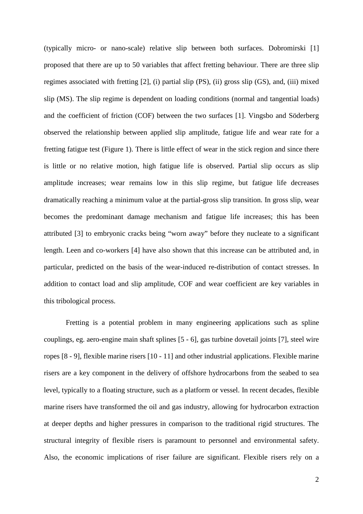(typically micro- or nano-scale) relative slip between both surfaces. Dobromirski [1] proposed that there are up to 50 variables that affect fretting behaviour. There are three slip regimes associated with fretting [2], (i) partial slip (PS), (ii) gross slip (GS), and, (iii) mixed slip (MS). The slip regime is dependent on loading conditions (normal and tangential loads) and the coefficient of friction (COF) between the two surfaces [1]. Vingsbo and Söderberg observed the relationship between applied slip amplitude, fatigue life and wear rate for a fretting fatigue test [\(Figure 1\)](#page-19-0). There is little effect of wear in the stick region and since there is little or no relative motion, high fatigue life is observed. Partial slip occurs as slip amplitude increases; wear remains low in this slip regime, but fatigue life decreases dramatically reaching a minimum value at the partial-gross slip transition. In gross slip, wear becomes the predominant damage mechanism and fatigue life increases; this has been attributed [3] to embryonic cracks being "worn away" before they nucleate to a significant length. Leen and co-workers [4] have also shown that this increase can be attributed and, in particular, predicted on the basis of the wear-induced re-distribution of contact stresses. In addition to contact load and slip amplitude, COF and wear coefficient are key variables in this tribological process.

Fretting is a potential problem in many engineering applications such as spline couplings, eg. aero-engine main shaft splines [5 - 6], gas turbine dovetail joints [7], steel wire ropes [8 - 9], flexible marine risers [10 - 11] and other industrial applications. Flexible marine risers are a key component in the delivery of offshore hydrocarbons from the seabed to sea level, typically to a floating structure, such as a platform or vessel. In recent decades, flexible marine risers have transformed the oil and gas industry, allowing for hydrocarbon extraction at deeper depths and higher pressures in comparison to the traditional rigid structures. The structural integrity of flexible risers is paramount to personnel and environmental safety. Also, the economic implications of riser failure are significant. Flexible risers rely on a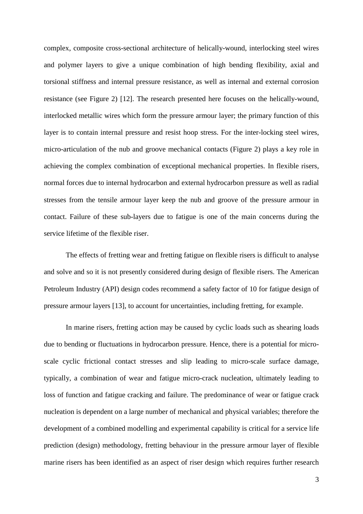complex, composite cross-sectional architecture of helically-wound, interlocking steel wires and polymer layers to give a unique combination of high bending flexibility, axial and torsional stiffness and internal pressure resistance, as well as internal and external corrosion resistance (see [Figure 2\)](#page-19-1) [12]. The research presented here focuses on the helically-wound, interlocked metallic wires which form the pressure armour layer; the primary function of this layer is to contain internal pressure and resist hoop stress. For the inter-locking steel wires, micro-articulation of the nub and groove mechanical contacts [\(Figure 2\)](#page-19-1) plays a key role in achieving the complex combination of exceptional mechanical properties. In flexible risers, normal forces due to internal hydrocarbon and external hydrocarbon pressure as well as radial stresses from the tensile armour layer keep the nub and groove of the pressure armour in contact. Failure of these sub-layers due to fatigue is one of the main concerns during the service lifetime of the flexible riser.

The effects of fretting wear and fretting fatigue on flexible risers is difficult to analyse and solve and so it is not presently considered during design of flexible risers. The American Petroleum Industry (API) design codes recommend a safety factor of 10 for fatigue design of pressure armour layers [13], to account for uncertainties, including fretting, for example.

In marine risers, fretting action may be caused by cyclic loads such as shearing loads due to bending or fluctuations in hydrocarbon pressure. Hence, there is a potential for microscale cyclic frictional contact stresses and slip leading to micro-scale surface damage, typically, a combination of wear and fatigue micro-crack nucleation, ultimately leading to loss of function and fatigue cracking and failure. The predominance of wear or fatigue crack nucleation is dependent on a large number of mechanical and physical variables; therefore the development of a combined modelling and experimental capability is critical for a service life prediction (design) methodology, fretting behaviour in the pressure armour layer of flexible marine risers has been identified as an aspect of riser design which requires further research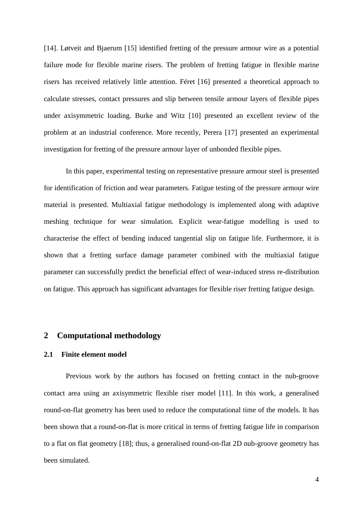[14]. Løtveit and Bjaerum [15] identified fretting of the pressure armour wire as a potential failure mode for flexible marine risers. The problem of fretting fatigue in flexible marine risers has received relatively little attention. Féret [16] presented a theoretical approach to calculate stresses, contact pressures and slip between tensile armour layers of flexible pipes under axisymmetric loading. Burke and Witz [10] presented an excellent review of the problem at an industrial conference. More recently, Perera [17] presented an experimental investigation for fretting of the pressure armour layer of unbonded flexible pipes.

In this paper, experimental testing on representative pressure armour steel is presented for identification of friction and wear parameters. Fatigue testing of the pressure armour wire material is presented. Multiaxial fatigue methodology is implemented along with adaptive meshing technique for wear simulation. Explicit wear-fatigue modelling is used to characterise the effect of bending induced tangential slip on fatigue life. Furthermore, it is shown that a fretting surface damage parameter combined with the multiaxial fatigue parameter can successfully predict the beneficial effect of wear-induced stress re-distribution on fatigue. This approach has significant advantages for flexible riser fretting fatigue design.

#### **2 Computational methodology**

#### **2.1 Finite element model**

Previous work by the authors has focused on fretting contact in the nub-groove contact area using an axisymmetric flexible riser model [11]. In this work, a generalised round-on-flat geometry has been used to reduce the computational time of the models. It has been shown that a round-on-flat is more critical in terms of fretting fatigue life in comparison to a flat on flat geometry [18]; thus, a generalised round-on-flat 2D nub-groove geometry has been simulated.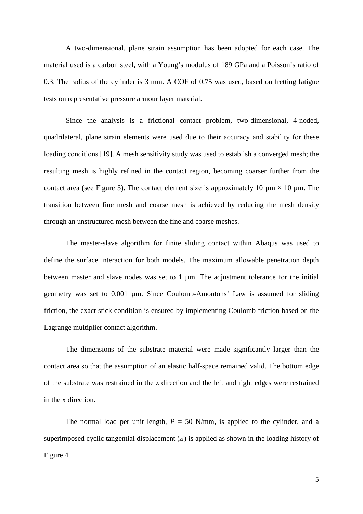A two-dimensional, plane strain assumption has been adopted for each case. The material used is a carbon steel, with a Young's modulus of 189 GPa and a Poisson's ratio of 0.3. The radius of the cylinder is 3 mm. A COF of 0.75 was used, based on fretting fatigue tests on representative pressure armour layer material.

Since the analysis is a frictional contact problem, two-dimensional, 4-noded, quadrilateral, plane strain elements were used due to their accuracy and stability for these loading conditions [19]. A mesh sensitivity study was used to establish a converged mesh; the resulting mesh is highly refined in the contact region, becoming coarser further from the contact area (see [Figure 3\)](#page-20-0). The contact element size is approximately 10  $\mu$ m × 10  $\mu$ m. The transition between fine mesh and coarse mesh is achieved by reducing the mesh density through an unstructured mesh between the fine and coarse meshes.

The master-slave algorithm for finite sliding contact within Abaqus was used to define the surface interaction for both models. The maximum allowable penetration depth between master and slave nodes was set to  $1 \mu m$ . The adjustment tolerance for the initial geometry was set to 0.001 µm. Since Coulomb-Amontons' Law is assumed for sliding friction, the exact stick condition is ensured by implementing Coulomb friction based on the Lagrange multiplier contact algorithm.

The dimensions of the substrate material were made significantly larger than the contact area so that the assumption of an elastic half-space remained valid. The bottom edge of the substrate was restrained in the z direction and the left and right edges were restrained in the x direction.

The normal load per unit length,  $P = 50$  N/mm, is applied to the cylinder, and a superimposed cyclic tangential displacement (*Δ*) is applied as shown in the loading history of [Figure 4.](#page-20-1)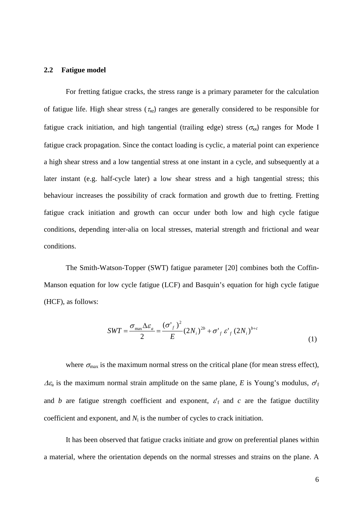#### **2.2 Fatigue model**

For fretting fatigue cracks, the stress range is a primary parameter for the calculation of fatigue life. High shear stress  $(\tau_{xz})$  ranges are generally considered to be responsible for fatigue crack initiation, and high tangential (trailing edge) stress ( $\sigma_{xx}$ ) ranges for Mode I fatigue crack propagation. Since the contact loading is cyclic, a material point can experience a high shear stress and a low tangential stress at one instant in a cycle, and subsequently at a later instant (e.g. half-cycle later) a low shear stress and a high tangential stress; this behaviour increases the possibility of crack formation and growth due to fretting. Fretting fatigue crack initiation and growth can occur under both low and high cycle fatigue conditions, depending inter-alia on local stresses, material strength and frictional and wear conditions.

The Smith-Watson-Topper (SWT) fatigue parameter [20] combines both the Coffin-Manson equation for low cycle fatigue (LCF) and Basquin's equation for high cycle fatigue (HCF), as follows:

<span id="page-6-0"></span>
$$
SWT = \frac{\sigma_{\text{max}} \Delta \varepsilon_a}{2} = \frac{(\sigma'_{f})^2}{E} (2N_i)^{2b} + \sigma'_{f} \varepsilon'_{f} (2N_i)^{b+c}
$$
(1)

where  $\sigma_{\text{max}}$  is the maximum normal stress on the critical plane (for mean stress effect),  $\Delta \varepsilon_a$  is the maximum normal strain amplitude on the same plane, *E* is Young's modulus,  $\sigma_f$ and *b* are fatigue strength coefficient and exponent,  $\varepsilon'$ <sub>f</sub> and *c* are the fatigue ductility coefficient and exponent, and  $N_i$  is the number of cycles to crack initiation.

It has been observed that fatigue cracks initiate and grow on preferential planes within a material, where the orientation depends on the normal stresses and strains on the plane. A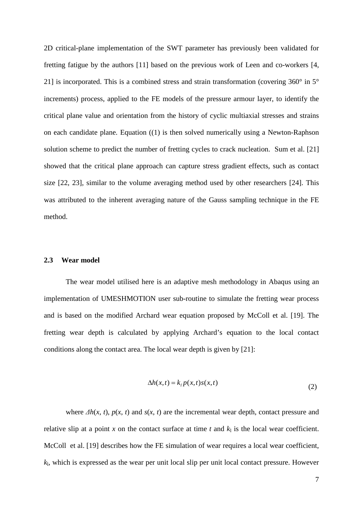2D critical-plane implementation of the SWT parameter has previously been validated for fretting fatigue by the authors [11] based on the previous work of Leen and co-workers [4, 21] is incorporated. This is a combined stress and strain transformation (covering 360° in 5° increments) process, applied to the FE models of the pressure armour layer, to identify the critical plane value and orientation from the history of cyclic multiaxial stresses and strains on each candidate plane. Equation [\(\(1\)](#page-6-0) is then solved numerically using a Newton-Raphson solution scheme to predict the number of fretting cycles to crack nucleation. Sum et al. [21] showed that the critical plane approach can capture stress gradient effects, such as contact size [22, 23], similar to the volume averaging method used by other researchers [24]. This was attributed to the inherent averaging nature of the Gauss sampling technique in the FE method.

#### **2.3 Wear model**

The wear model utilised here is an adaptive mesh methodology in Abaqus using an implementation of UMESHMOTION user sub-routine to simulate the fretting wear process and is based on the modified Archard wear equation proposed by McColl et al. [19]. The fretting wear depth is calculated by applying Archard's equation to the local contact conditions along the contact area. The local wear depth is given by [21]:

<span id="page-7-0"></span>
$$
\Delta h(x,t) = k_{\parallel} p(x,t) s(x,t)
$$
\n(2)

where  $\Delta h(x, t)$ ,  $p(x, t)$  and  $s(x, t)$  are the incremental wear depth, contact pressure and relative slip at a point  $x$  on the contact surface at time  $t$  and  $k<sub>1</sub>$  is the local wear coefficient. McColl et al. [19] describes how the FE simulation of wear requires a local wear coefficient, *k*l, which is expressed as the wear per unit local slip per unit local contact pressure. However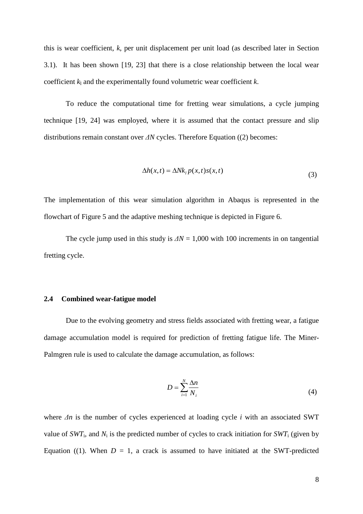this is wear coefficient, *k*, per unit displacement per unit load (as described later in Section [3.1\)](#page-9-0). It has been shown [19, 23] that there is a close relationship between the local wear coefficient *k*<sup>l</sup> and the experimentally found volumetric wear coefficient *k*.

To reduce the computational time for fretting wear simulations, a cycle jumping technique [19, 24] was employed, where it is assumed that the contact pressure and slip distributions remain constant over *ΔN* cycles. Therefore Equation [\(\(2\)](#page-7-0) becomes:

$$
\Delta h(x,t) = \Delta N k_i p(x,t) s(x,t)
$$
\n(3)

The implementation of this wear simulation algorithm in Abaqus is represented in the flowchart of [Figure 5](#page-21-0) and the adaptive meshing technique is depicted in [Figure 6.](#page-21-1)

The cycle jump used in this study is  $\Delta N = 1,000$  with 100 increments in on tangential fretting cycle.

#### **2.4 Combined wear-fatigue model**

Due to the evolving geometry and stress fields associated with fretting wear, a fatigue damage accumulation model is required for prediction of fretting fatigue life. The Miner-Palmgren rule is used to calculate the damage accumulation, as follows:

$$
D = \sum_{i=1}^{N} \frac{\Delta n}{N_i} \tag{4}
$$

where *Δn* is the number of cycles experienced at loading cycle *i* with an associated SWT value of  $SWT_i$ , and  $N_i$  is the predicted number of cycles to crack initiation for  $SWT_i$  (given by Equation [\(\(1\).](#page-6-0) When  $D = 1$ , a crack is assumed to have initiated at the SWT-predicted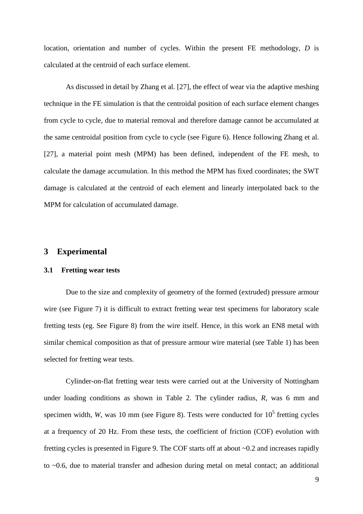location, orientation and number of cycles. Within the present FE methodology, *D* is calculated at the centroid of each surface element.

As discussed in detail by Zhang et al. [27], the effect of wear via the adaptive meshing technique in the FE simulation is that the centroidal position of each surface element changes from cycle to cycle, due to material removal and therefore damage cannot be accumulated at the same centroidal position from cycle to cycle (see [Figure 6\)](#page-21-1). Hence following Zhang et al. [27], a material point mesh (MPM) has been defined, independent of the FE mesh, to calculate the damage accumulation. In this method the MPM has fixed coordinates; the SWT damage is calculated at the centroid of each element and linearly interpolated back to the MPM for calculation of accumulated damage.

## **3 Experimental**

#### <span id="page-9-0"></span>**3.1 Fretting wear tests**

Due to the size and complexity of geometry of the formed (extruded) pressure armour wire (see [Figure 7\)](#page-22-0) it is difficult to extract fretting wear test specimens for laboratory scale fretting tests (eg. See [Figure 8\)](#page-22-1) from the wire itself. Hence, in this work an EN8 metal with similar chemical composition as that of pressure armour wire material (see [Table 1\)](#page-26-0) has been selected for fretting wear tests.

Cylinder-on-flat fretting wear tests were carried out at the University of Nottingham under loading conditions as shown in [Table 2.](#page-26-1) The cylinder radius, *R*, was 6 mm and specimen width, *W*, was 10 mm (see [Figure 8\)](#page-22-1). Tests were conducted for  $10^5$  fretting cycles at a frequency of 20 Hz. From these tests, the coefficient of friction (COF) evolution with fretting cycles is presented in [Figure 9.](#page-22-2) The COF starts off at about ~0.2 and increases rapidly to ~0.6, due to material transfer and adhesion during metal on metal contact; an additional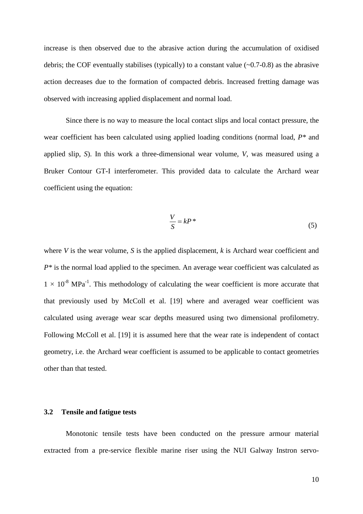increase is then observed due to the abrasive action during the accumulation of oxidised debris; the COF eventually stabilises (typically) to a constant value  $(\sim 0.7-0.8)$  as the abrasive action decreases due to the formation of compacted debris. Increased fretting damage was observed with increasing applied displacement and normal load.

Since there is no way to measure the local contact slips and local contact pressure, the wear coefficient has been calculated using applied loading conditions (normal load, *P\** and applied slip, *S*). In this work a three-dimensional wear volume, *V*, was measured using a Bruker Contour GT-I interferometer. This provided data to calculate the Archard wear coefficient using the equation:

$$
\frac{V}{S} = kP^* \tag{5}
$$

where *V* is the wear volume, *S* is the applied displacement, *k* is Archard wear coefficient and *P\** is the normal load applied to the specimen. An average wear coefficient was calculated as  $1 \times 10^{-8}$  MPa<sup>-1</sup>. This methodology of calculating the wear coefficient is more accurate that that previously used by McColl et al. [19] where and averaged wear coefficient was calculated using average wear scar depths measured using two dimensional profilometry. Following McColl et al. [19] it is assumed here that the wear rate is independent of contact geometry, i.e. the Archard wear coefficient is assumed to be applicable to contact geometries other than that tested.

#### **3.2 Tensile and fatigue tests**

Monotonic tensile tests have been conducted on the pressure armour material extracted from a pre-service flexible marine riser using the NUI Galway Instron servo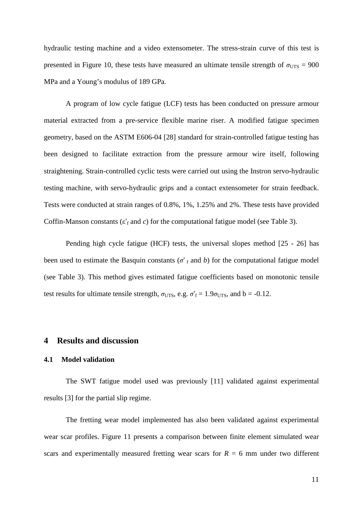hydraulic testing machine and a video extensometer. The stress-strain curve of this test is presented in [Figure 10,](#page-23-0) these tests have measured an ultimate tensile strength of  $\sigma_{UTS} = 900$ MPa and a Young's modulus of 189 GPa.

A program of low cycle fatigue (LCF) tests has been conducted on pressure armour material extracted from a pre-service flexible marine riser. A modified fatigue specimen geometry, based on the ASTM E606-04 [28] standard for strain-controlled fatigue testing has been designed to facilitate extraction from the pressure armour wire itself, following straightening. Strain-controlled cyclic tests were carried out using the Instron servo-hydraulic testing machine, with servo-hydraulic grips and a contact extensometer for strain feedback. Tests were conducted at strain ranges of 0.8%, 1%, 1.25% and 2%. These tests have provided Coffin-Manson constants  $(\varepsilon'_f$  and *c*) for the computational fatigue model (see [Table 3\)](#page-26-2).

Pending high cycle fatigue (HCF) tests, the universal slopes method [25 - 26] has been used to estimate the Basquin constants ( $\sigma$ <sup>'</sup> f and *b*) for the computational fatigue model (see Table 3). This method gives estimated fatigue coefficients based on monotonic tensile test results for ultimate tensile strength,  $\sigma_{UTS}$ , e.g.  $\sigma'_{f} = 1.9 \sigma_{UTS}$ , and b = -0.12.

## **4 Results and discussion**

#### **4.1 Model validation**

The SWT fatigue model used was previously [11] validated against experimental results [3] for the partial slip regime.

The fretting wear model implemented has also been validated against experimental wear scar profiles. [Figure 11](#page-23-1) presents a comparison between finite element simulated wear scars and experimentally measured fretting wear scars for  $R = 6$  mm under two different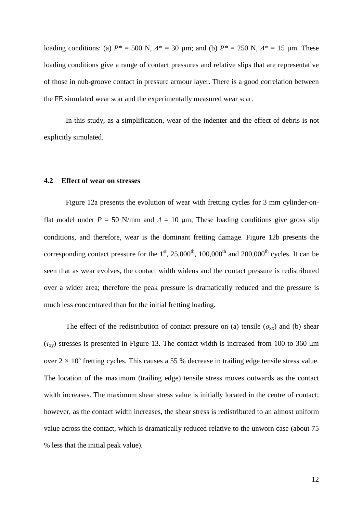loading conditions: (a)  $P^* = 500$  N,  $A^* = 30$  μm; and (b)  $P^* = 250$  N,  $A^* = 15$  μm. These loading conditions give a range of contact pressures and relative slips that are representative of those in nub-groove contact in pressure armour layer. There is a good correlation between the FE simulated wear scar and the experimentally measured wear scar.

In this study, as a simplification, wear of the indenter and the effect of debris is not explicitly simulated.

#### **4.2 Effect of wear on stresses**

[Figure 12a](#page-23-2) presents the evolution of wear with fretting cycles for 3 mm cylinder-onflat model under  $P = 50$  N/mm and  $\Delta = 10$  µm; These loading conditions give gross slip conditions, and therefore, wear is the dominant fretting damage. [Figure 12b](#page-23-2) presents the corresponding contact pressure for the  $1<sup>st</sup>$ ,  $25,000<sup>th</sup>$ ,  $100,000<sup>th</sup>$  and  $200,000<sup>th</sup>$  cycles. It can be seen that as wear evolves, the contact width widens and the contact pressure is redistributed over a wider area; therefore the peak pressure is dramatically reduced and the pressure is much less concentrated than for the initial fretting loading.

The effect of the redistribution of contact pressure on (a) tensile ( $\sigma_{xx}$ ) and (b) shear  $(τ<sub>xy</sub>)$  stresses is presented in [Figure 13.](#page-24-0) The contact width is increased from 100 to 360 μm over  $2 \times 10^5$  fretting cycles. This causes a 55 % decrease in trailing edge tensile stress value. The location of the maximum (trailing edge) tensile stress moves outwards as the contact width increases. The maximum shear stress value is initially located in the centre of contact; however, as the contact width increases, the shear stress is redistributed to an almost uniform value across the contact, which is dramatically reduced relative to the unworn case (about 75 % less that the initial peak value).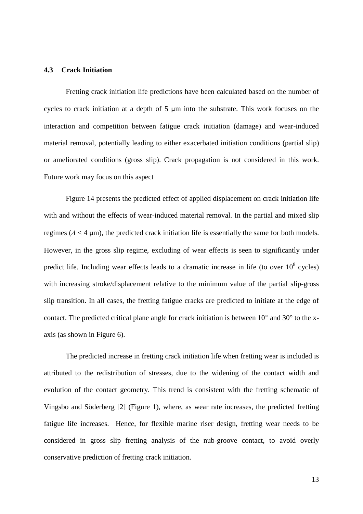### **4.3 Crack Initiation**

Fretting crack initiation life predictions have been calculated based on the number of cycles to crack initiation at a depth of 5 µm into the substrate. This work focuses on the interaction and competition between fatigue crack initiation (damage) and wear-induced material removal, potentially leading to either exacerbated initiation conditions (partial slip) or ameliorated conditions (gross slip). Crack propagation is not considered in this work. Future work may focus on this aspect

[Figure 14](#page-24-1) presents the predicted effect of applied displacement on crack initiation life with and without the effects of wear-induced material removal. In the partial and mixed slip regimes  $(\Delta < 4 \mu m)$ , the predicted crack initiation life is essentially the same for both models. However, in the gross slip regime, excluding of wear effects is seen to significantly under predict life. Including wear effects leads to a dramatic increase in life (to over  $10^8$  cycles) with increasing stroke/displacement relative to the minimum value of the partial slip-gross slip transition. In all cases, the fretting fatigue cracks are predicted to initiate at the edge of contact. The predicted critical plane angle for crack initiation is between 10° and 30° to the xaxis (as shown in [Figure 6\)](#page-21-1).

The predicted increase in fretting crack initiation life when fretting wear is included is attributed to the redistribution of stresses, due to the widening of the contact width and evolution of the contact geometry. This trend is consistent with the fretting schematic of Vingsbo and Söderberg [2] [\(Figure 1\)](#page-19-0), where, as wear rate increases, the predicted fretting fatigue life increases. Hence, for flexible marine riser design, fretting wear needs to be considered in gross slip fretting analysis of the nub-groove contact, to avoid overly conservative prediction of fretting crack initiation.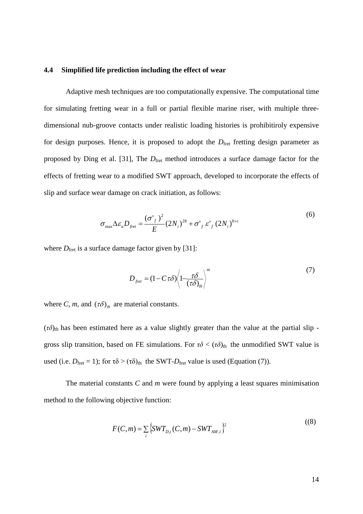#### **4.4 Simplified life prediction including the effect of wear**

Adaptive mesh techniques are too computationally expensive. The computational time for simulating fretting wear in a full or partial flexible marine riser, with multiple threedimensional nub-groove contacts under realistic loading histories is prohibitiroly expensive for design purposes. Hence, it is proposed to adopt the  $D_{\text{fret}}$  fretting design parameter as proposed by Ding et al. [31], The  $D_{\text{fret}}$  method introduces a surface damage factor for the effects of fretting wear to a modified SWT approach, developed to incorporate the effects of slip and surface wear damage on crack initiation, as follows:

$$
\sigma_{\max} \Delta \varepsilon_a D_{\text{fret}} = \frac{(\sigma'_{f})^2}{E} (2N_i)^{2b} + \sigma'_{f} \varepsilon'_{f} (2N_i)^{b+c}
$$
(6)

where  $D_{\text{fret}}$  is a surface damage factor given by [31]:

$$
D_{\text{fret}} = (1 - C \tau \delta) \left\langle 1 - \frac{\tau \delta}{(\tau \delta)_{\text{th}}} \right\rangle^m \tag{7}
$$

where *C*, *m*, and  $(\tau \delta)_{th}$  are material constants.

 $(\tau\delta)_{th}$  has been estimated here as a value slightly greater than the value at the partial slip gross slip transition, based on FE simulations. For  $\tau\delta < (\tau\delta)_{\text{th}}$  the unmodified SWT value is used (i.e.  $D_{\text{fret}} = 1$ ); for  $\tau \delta > (\tau \delta)_{\text{th}}$  the SWT- $D_{\text{fret}}$  value is used (Equation (7)).

The material constants *C* and *m* were found by applying a least squares minimisation method to the following objective function:

$$
F(C,m) = \sum_{i} \left\{ SWT_{D,i}(C,m) - SWT_{AM,i} \right\}^{2}
$$
 (8)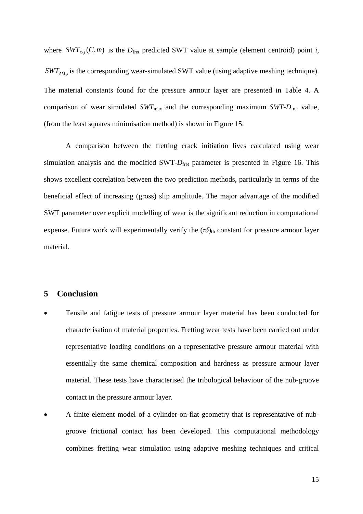where  $SWT_{D_i}(C, m)$  is the  $D_{\text{fret}}$  predicted SWT value at sample (element centroid) point *i*,  $\text{SWT}_{\text{AM},i}$  is the corresponding wear-simulated SWT value (using adaptive meshing technique). The material constants found for the pressure armour layer are presented in [Table 4.](#page-27-0) A comparison of wear simulated  $SWT_{\text{max}}$  and the corresponding maximum  $SWT-D_{\text{fret}}$  value, (from the least squares minimisation method) is shown in [Figure 15.](#page-25-0)

A comparison between the fretting crack initiation lives calculated using wear simulation analysis and the modified SWT- $D_{\text{fret}}$  parameter is presented in [Figure 16.](#page-25-1) This shows excellent correlation between the two prediction methods, particularly in terms of the beneficial effect of increasing (gross) slip amplitude. The major advantage of the modified SWT parameter over explicit modelling of wear is the significant reduction in computational expense. Future work will experimentally verify the  $(\tau \delta)_{th}$  constant for pressure armour layer material.

# **5 Conclusion**

- Tensile and fatigue tests of pressure armour layer material has been conducted for characterisation of material properties. Fretting wear tests have been carried out under representative loading conditions on a representative pressure armour material with essentially the same chemical composition and hardness as pressure armour layer material. These tests have characterised the tribological behaviour of the nub-groove contact in the pressure armour layer.
- A finite element model of a cylinder-on-flat geometry that is representative of nubgroove frictional contact has been developed. This computational methodology combines fretting wear simulation using adaptive meshing techniques and critical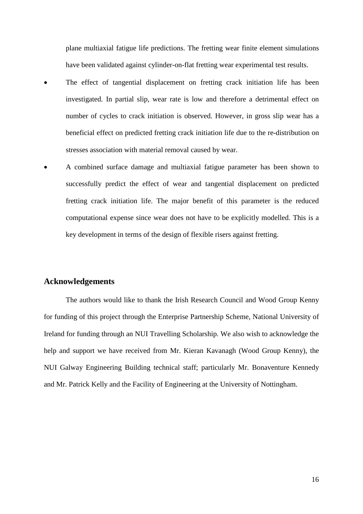plane multiaxial fatigue life predictions. The fretting wear finite element simulations have been validated against cylinder-on-flat fretting wear experimental test results.

- The effect of tangential displacement on fretting crack initiation life has been investigated. In partial slip, wear rate is low and therefore a detrimental effect on number of cycles to crack initiation is observed. However, in gross slip wear has a beneficial effect on predicted fretting crack initiation life due to the re-distribution on stresses association with material removal caused by wear.
- A combined surface damage and multiaxial fatigue parameter has been shown to successfully predict the effect of wear and tangential displacement on predicted fretting crack initiation life. The major benefit of this parameter is the reduced computational expense since wear does not have to be explicitly modelled. This is a key development in terms of the design of flexible risers against fretting.

#### **Acknowledgements**

The authors would like to thank the Irish Research Council and Wood Group Kenny for funding of this project through the Enterprise Partnership Scheme, National University of Ireland for funding through an NUI Travelling Scholarship. We also wish to acknowledge the help and support we have received from Mr. Kieran Kavanagh (Wood Group Kenny), the NUI Galway Engineering Building technical staff; particularly Mr. Bonaventure Kennedy and Mr. Patrick Kelly and the Facility of Engineering at the University of Nottingham.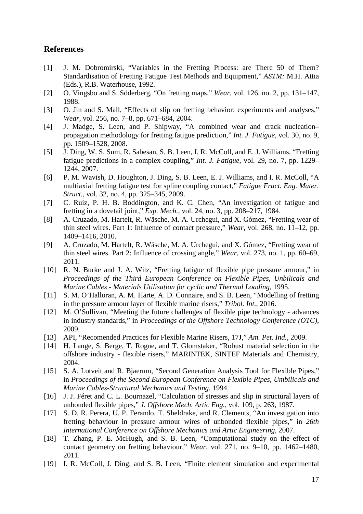# **References**

- [1] J. M. Dobromirski, "Variables in the Fretting Process: are There 50 of Them? Standardisation of Fretting Fatigue Test Methods and Equipment," *ASTM:* M.H. Attia (Eds.), R.B. Waterhouse, 1992.
- [2] O. Vingsbo and S. Söderberg, "On fretting maps," *Wear*, vol. 126, no. 2, pp. 131–147, 1988.
- [3] O. Jin and S. Mall, "Effects of slip on fretting behavior: experiments and analyses," *Wear*, vol. 256, no. 7–8, pp. 671–684, 2004.
- [4] J. Madge, S. Leen, and P. Shipway, "A combined wear and crack nucleation– propagation methodology for fretting fatigue prediction," *Int. J. Fatigue*, vol. 30, no. 9, pp. 1509–1528, 2008.
- [5] J. Ding, W. S. Sum, R. Sabesan, S. B. Leen, I. R. McColl, and E. J. Williams, "Fretting fatigue predictions in a complex coupling," *Int. J. Fatigue*, vol. 29, no. 7, pp. 1229– 1244, 2007.
- [6] P. M. Wavish, D. Houghton, J. Ding, S. B. Leen, E. J. Williams, and I. R. McColl, "A multiaxial fretting fatigue test for spline coupling contact," *Fatigue Fract. Eng. Mater. Struct.*, vol. 32, no. 4, pp. 325–345, 2009.
- [7] C. Ruiz, P. H. B. Boddington, and K. C. Chen, "An investigation of fatigue and fretting in a dovetail joint," *Exp. Mech.*, vol. 24, no. 3, pp. 208–217, 1984.
- [8] A. Cruzado, M. Hartelt, R. Wäsche, M. A. Urchegui, and X. Gómez, "Fretting wear of thin steel wires. Part 1: Influence of contact pressure," *Wear*, vol. 268, no. 11–12, pp. 1409–1416, 2010.
- [9] A. Cruzado, M. Hartelt, R. Wäsche, M. A. Urchegui, and X. Gómez, "Fretting wear of thin steel wires. Part 2: Influence of crossing angle," *Wear*, vol. 273, no. 1, pp. 60–69, 2011.
- [10] R. N. Burke and J. A. Witz, "Fretting fatigue of flexible pipe pressure armour," in *Proceedings of the Third European Conference on Flexible Pipes, Unbilicals and Marine Cables - Materials Utilisation for cyclic and Thermal Loading*, 1995.
- [11] S. M. O'Halloran, A. M. Harte, A. D. Connaire, and S. B. Leen, "Modelling of fretting in the pressure armour layer of flexible marine risers," *Tribol. Int.*, 2016.
- [12] M. O'Sullivan, "Meeting the future challenges of flexible pipe technology advances in industry standards," in *Proceedings of the Offshore Technology Conference (OTC)*, 2009.
- [13] API, "Recomended Practices for Flexible Marine Risers, 17J," *Am. Pet. Ind.*, 2009.
- [14] H. Lange, S. Berge, T. Rogne, and T. Glomstaker, "Robust material selection in the offshore industry - flexible risers," MARINTEK, SINTEF Materials and Chemistry, 2004.
- [15] S. A. Lotveit and R. Bjaerum, "Second Generation Analysis Tool for Flexible Pipes," in *Proceedings of the Second European Conference on Flexible Pipes, Umbilicals and Marine Cables-Structural Mechanics and Testing*, 1994.
- [16] J. J. Féret and C. L. Bournazel, "Calculation of stresses and slip in structural layers of unbonded flexible pipes," *J. Offshore Mech. Artic Eng.*, vol. 109, p. 263, 1987.
- [17] S. D. R. Perera, U. P. Ferando, T. Sheldrake, and R. Clements, "An investigation into fretting behaviour in pressure armour wires of unbonded flexible pipes," in *26th International Conference on Offshore Mechanics and Artic Engineering*, 2007.
- [18] T. Zhang, P. E. McHugh, and S. B. Leen, "Computational study on the effect of contact geometry on fretting behaviour," *Wear*, vol. 271, no. 9–10, pp. 1462–1480, 2011.
- [19] I. R. McColl, J. Ding, and S. B. Leen, "Finite element simulation and experimental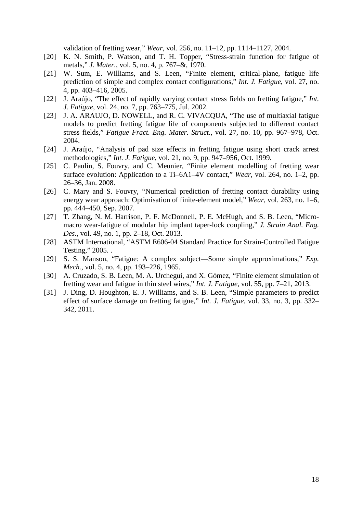validation of fretting wear," *Wear*, vol. 256, no. 11–12, pp. 1114–1127, 2004.

- [20] K. N. Smith, P. Watson, and T. H. Topper, "Stress-strain function for fatigue of metals," *J. Mater.*, vol. 5, no. 4, p. 767–&, 1970.
- [21] W. Sum, E. Williams, and S. Leen, "Finite element, critical-plane, fatigue life prediction of simple and complex contact configurations," *Int. J. Fatigue*, vol. 27, no. 4, pp. 403–416, 2005.
- [22] J. Araújo, "The effect of rapidly varying contact stress fields on fretting fatigue," *Int. J. Fatigue*, vol. 24, no. 7, pp. 763–775, Jul. 2002.
- [23] J. A. ARAUJO, D. NOWELL, and R. C. VIVACQUA, "The use of multiaxial fatigue models to predict fretting fatigue life of components subjected to different contact stress fields," *Fatigue Fract. Eng. Mater. Struct.*, vol. 27, no. 10, pp. 967–978, Oct. 2004.
- [24] J. Araújo, "Analysis of pad size effects in fretting fatigue using short crack arrest methodologies," *Int. J. Fatigue*, vol. 21, no. 9, pp. 947–956, Oct. 1999.
- [25] C. Paulin, S. Fouvry, and C. Meunier, "Finite element modelling of fretting wear surface evolution: Application to a Ti–6A1–4V contact," *Wear*, vol. 264, no. 1–2, pp. 26–36, Jan. 2008.
- [26] C. Mary and S. Fouvry, "Numerical prediction of fretting contact durability using energy wear approach: Optimisation of finite-element model," *Wear*, vol. 263, no. 1–6, pp. 444–450, Sep. 2007.
- [27] T. Zhang, N. M. Harrison, P. F. McDonnell, P. E. McHugh, and S. B. Leen, "Micromacro wear-fatigue of modular hip implant taper-lock coupling," *J. Strain Anal. Eng. Des.*, vol. 49, no. 1, pp. 2–18, Oct. 2013.
- [28] ASTM International, "ASTM E606-04 Standard Practice for Strain-Controlled Fatigue Testing," 2005. .
- [29] S. S. Manson, "Fatigue: A complex subject—Some simple approximations," *Exp. Mech.*, vol. 5, no. 4, pp. 193–226, 1965.
- [30] A. Cruzado, S. B. Leen, M. A. Urchegui, and X. Gómez, "Finite element simulation of fretting wear and fatigue in thin steel wires," *Int. J. Fatigue*, vol. 55, pp. 7–21, 2013.
- [31] J. Ding, D. Houghton, E. J. Williams, and S. B. Leen, "Simple parameters to predict effect of surface damage on fretting fatigue," *Int. J. Fatigue*, vol. 33, no. 3, pp. 332– 342, 2011.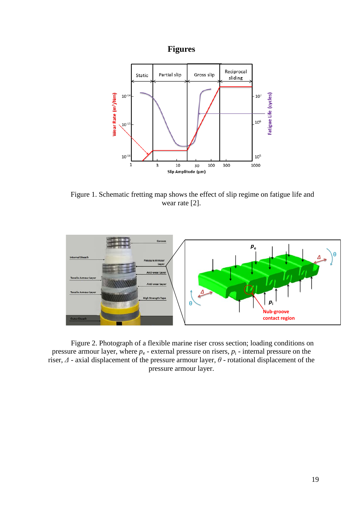# **Figures**



<span id="page-19-0"></span>Figure 1. Schematic fretting map shows the effect of slip regime on fatigue life and wear rate [2].



<span id="page-19-1"></span>Figure 2. Photograph of a flexible marine riser cross section; loading conditions on pressure armour layer, where  $p_e$  - external pressure on risers,  $p_i$  - internal pressure on the riser, *Δ* - axial displacement of the pressure armour layer, *θ* - rotational displacement of the pressure armour layer.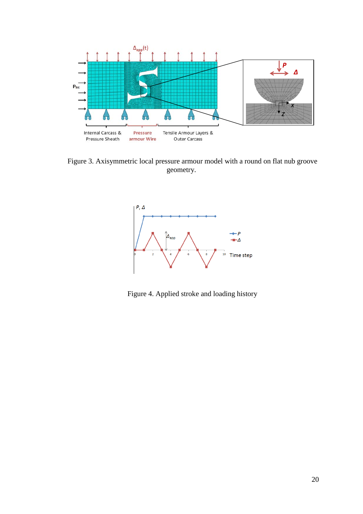

<span id="page-20-0"></span>Figure 3. Axisymmetric local pressure armour model with a round on flat nub groove geometry.



<span id="page-20-1"></span>Figure 4. Applied stroke and loading history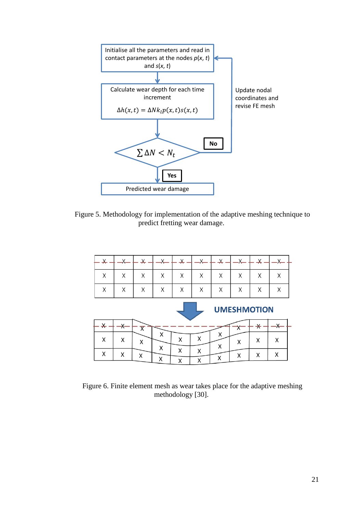

<span id="page-21-0"></span>Figure 5. Methodology for implementation of the adaptive meshing technique to predict fretting wear damage.

| ¥. |   | ⊻                            |        | $\overline{\mathsf{x}}$ |        | ¥      |                    | X      |    |
|----|---|------------------------------|--------|-------------------------|--------|--------|--------------------|--------|----|
|    |   |                              |        |                         |        |        |                    |        |    |
| Χ  | Χ | X                            | Χ      | Χ                       | X      | Χ      | Χ                  | X      | Χ  |
| Χ  | Χ | Χ                            | Χ      | Χ                       | Χ      | Χ      | Χ                  | Χ      | Χ  |
|    |   |                              |        |                         |        |        |                    |        |    |
|    |   |                              |        |                         |        |        | <b>UMESHMOTION</b> |        |    |
| ¥  |   |                              |        |                         |        |        |                    | $\ast$ | x. |
| Χ  | Χ | $\overline{\textsf{x}}$<br>Χ | Χ<br>Χ | Χ<br>Χ                  | Χ<br>Χ | X<br>X | X                  | X      | Χ  |

<span id="page-21-1"></span>Figure 6. Finite element mesh as wear takes place for the adaptive meshing methodology [30].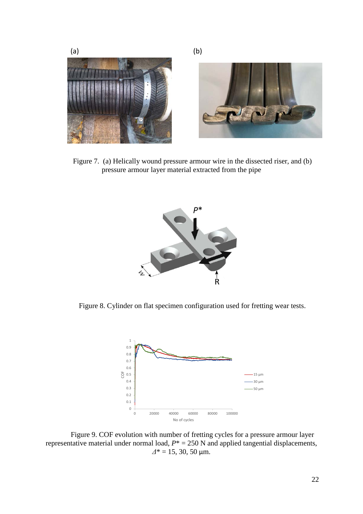

Figure 7. (a) Helically wound pressure armour wire in the dissected riser, and (b) pressure armour layer material extracted from the pipe

<span id="page-22-0"></span>

<span id="page-22-1"></span>Figure 8. Cylinder on flat specimen configuration used for fretting wear tests.



<span id="page-22-2"></span>Figure 9. COF evolution with number of fretting cycles for a pressure armour layer representative material under normal load,  $P^* = 250$  N and applied tangential displacements, *Δ*\* = 15, 30, 50 µm.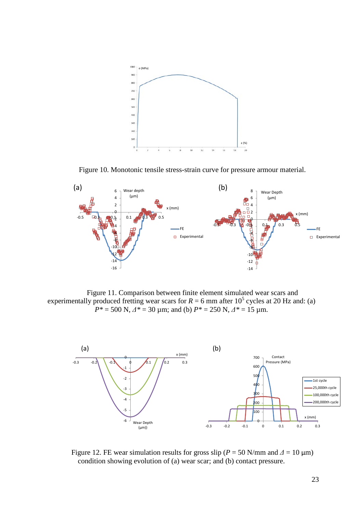

Figure 10. Monotonic tensile stress-strain curve for pressure armour material.

<span id="page-23-0"></span>

<span id="page-23-1"></span>Figure 11. Comparison between finite element simulated wear scars and experimentally produced fretting wear scars for  $R = 6$  mm after 10<sup>5</sup> cycles at 20 Hz and: (a)  $P^* = 500 \text{ N}, \Delta^* = 30 \text{ µm}; \text{ and (b) } P^* = 250 \text{ N}, \Delta^* = 15 \text{ µm}.$ 



<span id="page-23-2"></span>Figure 12. FE wear simulation results for gross slip ( $P = 50$  N/mm and  $\Delta = 10$  µm) condition showing evolution of (a) wear scar; and (b) contact pressure.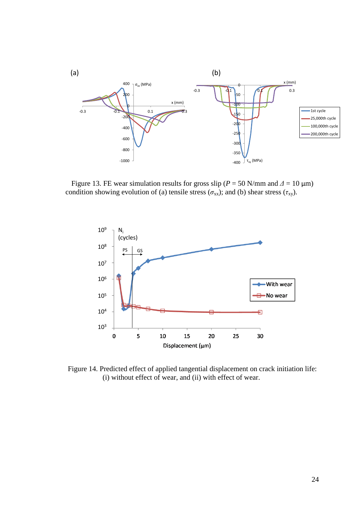

<span id="page-24-0"></span>Figure 13. FE wear simulation results for gross slip ( $P = 50$  N/mm and  $\Delta = 10$  µm) condition showing evolution of (a) tensile stress ( $\sigma_{xx}$ ); and (b) shear stress ( $\tau_{xy}$ ).



<span id="page-24-1"></span>Figure 14. Predicted effect of applied tangential displacement on crack initiation life: (i) without effect of wear, and (ii) with effect of wear.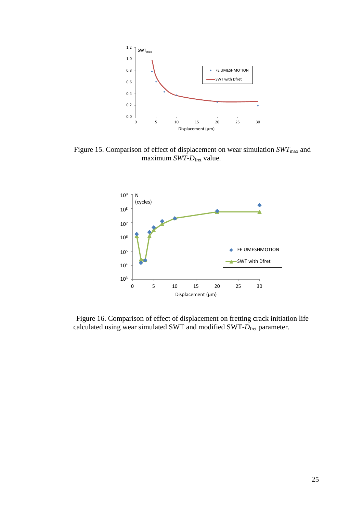

<span id="page-25-0"></span>Figure 15. Comparison of effect of displacement on wear simulation  $SWT<sub>max</sub>$  and maximum *SWT*-*D*fret value.



<span id="page-25-1"></span>Figure 16. Comparison of effect of displacement on fretting crack initiation life calculated using wear simulated SWT and modified SWT- $D_{\text{fret}}$  parameter.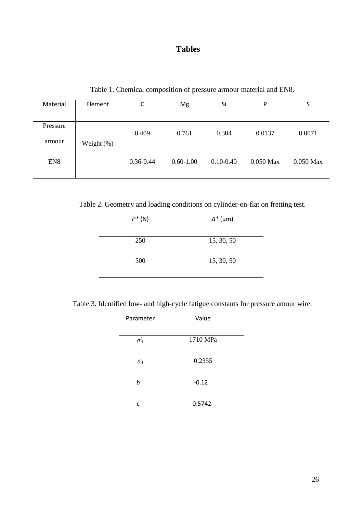# **Tables**

Table 1. Chemical composition of pressure armour material and EN8.

<span id="page-26-0"></span>

| Material           | Element       | r<br>J        | Mg            | Si            | P           | S           |
|--------------------|---------------|---------------|---------------|---------------|-------------|-------------|
| Pressure<br>armour |               | 0.409         | 0.761         | 0.304         | 0.0137      | 0.0071      |
| EN <sub>8</sub>    | Weight $(\%)$ | $0.36 - 0.44$ | $0.60 - 1.00$ | $0.10 - 0.40$ | $0.050$ Max | $0.050$ Max |

<span id="page-26-1"></span>Table 2. Geometry and loading conditions on cylinder-on-flat on fretting test.

| $P^*(N)$ | $\Delta^*$ (µm) |
|----------|-----------------|
| 250      | 15, 30, 50      |
| 500      | 15, 30, 50      |

<span id="page-26-2"></span>Table 3. Identified low- and high-cycle fatigue constants for pressure amour wire.

| Parameter              | Value     |  |
|------------------------|-----------|--|
| $\sigma'$ <sub>f</sub> | 1710 MPa  |  |
| $\varepsilon'$ f       | 0.2355    |  |
| b                      | $-0.12$   |  |
| C                      | $-0.5742$ |  |
|                        |           |  |